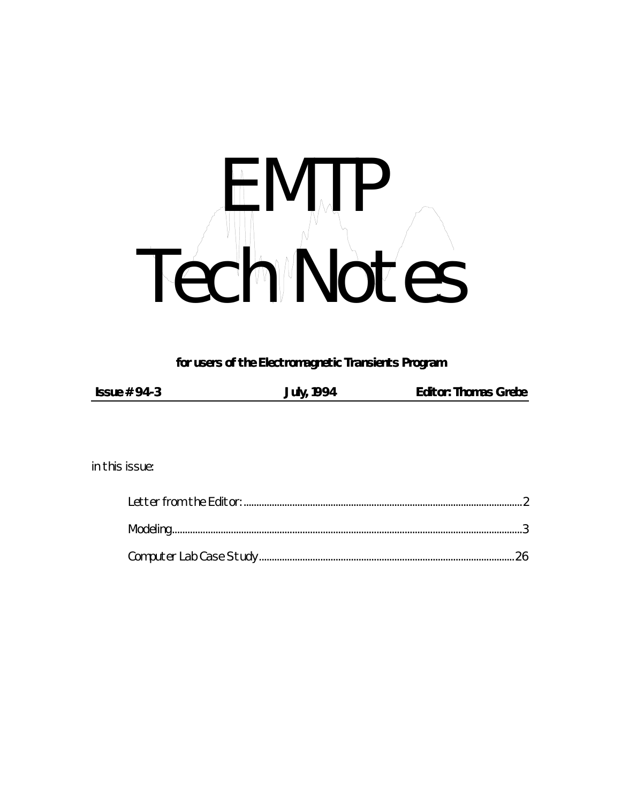# H MTP Tech Notes

*for users of the Electromagnetic Transients Program*

| Issue $# 94-3$ | July, 1994 | <b>Editor: Thomas Grebe</b> |
|----------------|------------|-----------------------------|

*in this issue:*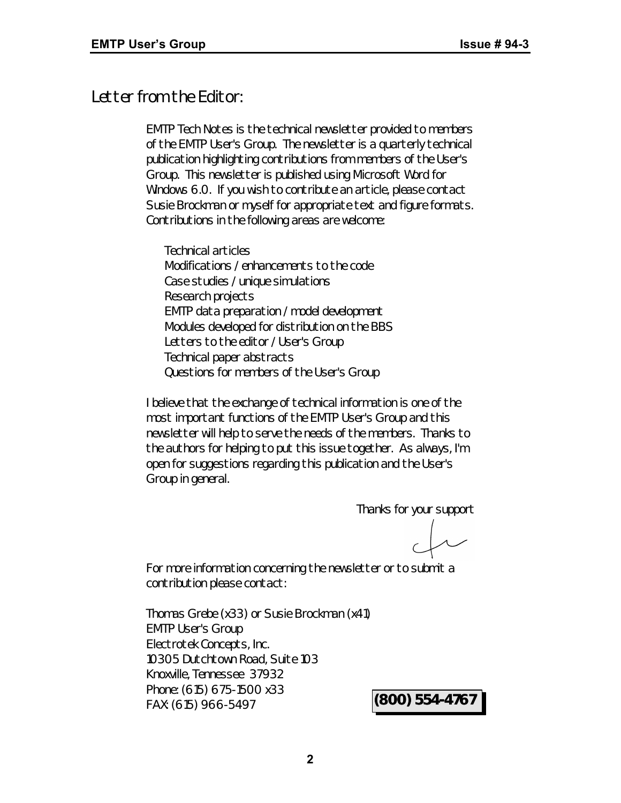# *Letter from the Editor:*

*EMTP Tech Notes* is the technical newsletter provided to members of the EMTP User's Group. The newsletter is a quarterly technical publication highlighting contributions from members of the User's Group. This newsletter is published using Microsoft Word for Windows 6.0. If you wish to contribute an article, please contact Susie Brockman or myself for appropriate text and figure formats. Contributions in the following areas are welcome:

Technical articles Modifications / enhancements to the code Case studies / unique simulations Research projects EMTP data preparation / model development Modules developed for distribution on the BBS Letters to the editor / User's Group Technical paper abstracts Questions for members of the User's Group

I believe that the exchange of technical information is one of the most important functions of the EMTP User's Group and this newsletter will help to serve the needs of the members. Thanks to the authors for helping to put this issue together. As always, I'm open for suggestions regarding this publication and the User's Group in general.

Thanks for your support

For more information concerning the newsletter or to submit a contribution please contact:

Thomas Grebe (x33) or Susie Brockman (x41) EMTP User's Group Electrotek Concepts, Inc. 10305 Dutchtown Road, Suite 103 Knoxville, Tennessee 37932 Phone: (615) 675-1500 x33 FAX: (615) 966-5497 **(800) 554-4767**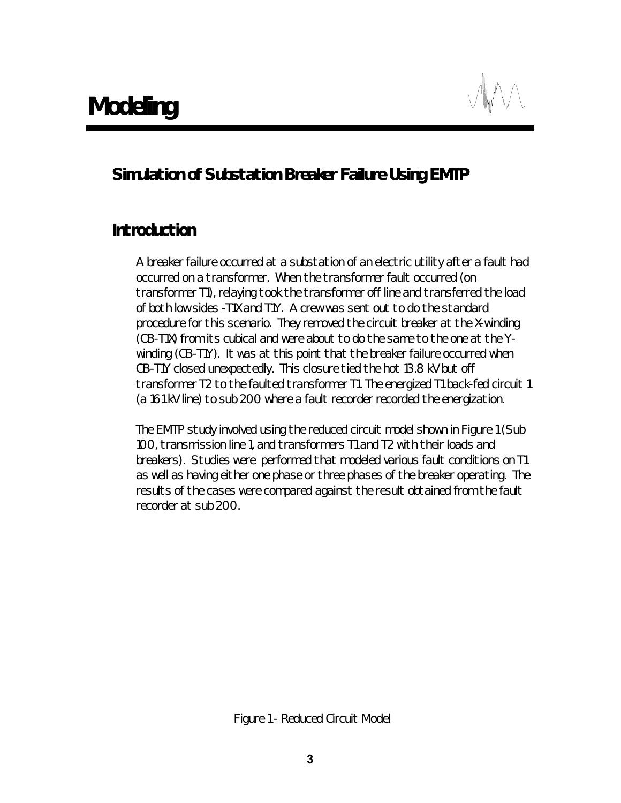# *Simulation of Substation Breaker Failure Using EMTP*

# *Introduction*

A breaker failure occurred at a substation of an electric utility after a fault had occurred on a transformer. When the transformer fault occurred (on transformer T1), relaying took the transformer off line and transferred the load of both low sides -T1X and T1Y. A crew was sent out to do the standard procedure for this scenario. They removed the circuit breaker at the X-winding (CB-T1X) from its cubical and were about to do the same to the one at the Ywinding (CB-T1Y). It was at this point that the breaker failure occurred when CB-T1Y closed unexpectedly. This closure tied the hot 13.8 kV but off transformer T2 to the faulted transformer T1. The energized T1 back-fed circuit 1 (a 161 kV line) to sub 200 where a fault recorder recorded the energization.

The EMTP study involved using the reduced circuit model shown in Figure 1 (Sub 100, transmission line 1, and transformers T1 and T2 with their loads and breakers). Studies were performed that modeled various fault conditions on T1 as well as having either one phase or three phases of the breaker operating. The results of the cases were compared against the result obtained from the fault recorder at sub 200.

*Figure 1 - Reduced Circuit Model*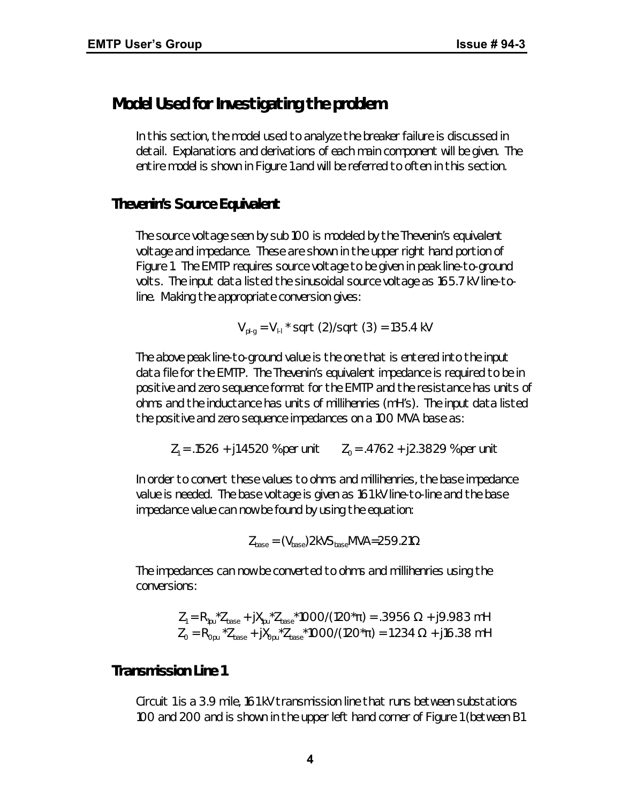# *Model Used for Investigating the problem*

In this section, the model used to analyze the breaker failure is discussed in detail. Explanations and derivations of each main component will be given. The entire model is shown in Figure 1 and will be referred to often in this section.

# *Thevenin's Source Equivalent*

The source voltage seen by sub 100 is modeled by the Thevenin's equivalent voltage and impedance. These are shown in the upper right hand portion of Figure 1. The EMTP requires source voltage to be given in peak line-to-ground volts. The input data listed the sinusoidal source voltage as 165.7 kV line-toline. Making the appropriate conversion gives:

 $V_{\text{pl-g}} = V_{\text{H}}$  \* sqrt (2)/sqrt (3) = 135.4 kV

The above peak line-to-ground value is the one that is entered into the input data file for the EMTP. The Thevenin's equivalent impedance is required to be in positive and zero sequence format for the EMTP and the resistance has units of ohms and the inductance has units of millihenries (mH's). The input data listed the positive and zero sequence impedances on a 100 MVA base as:

 $Z_1$  = .1526 + j1.4520 % per unit  $Z_0$  = .4762 + j2.3829 % per unit

In order to convert these values to ohms and millihenries, the base impedance value is needed. The base voltage is given as 161 kV line-to-line and the base impedance value can now be found by using the equation:

 $Z_{base} = (V_{base})2kVS_{base}MVA = 259.21\Omega$ 

The impedances can now be converted to ohms and millihenries using the conversions:

$$
Z_1 = R_{1pu}^* Z_{base} + jX_{1pu}^* Z_{base}^* 1000/(120^* \pi) = .3956 \Omega + j9.983 \text{ mH}
$$
  

$$
Z_0 = R_{0pu}^* Z_{base} + jX_{0pu}^* Z_{base}^* 1000/(120^* \pi) = 1.234 \Omega + j16.38 \text{ mH}
$$

# *Transmission Line 1*

Circuit 1 is a 3.9 mile, 161 kV transmission line that runs between substations 100 and 200 and is shown in the upper left hand corner of Figure 1 (between B1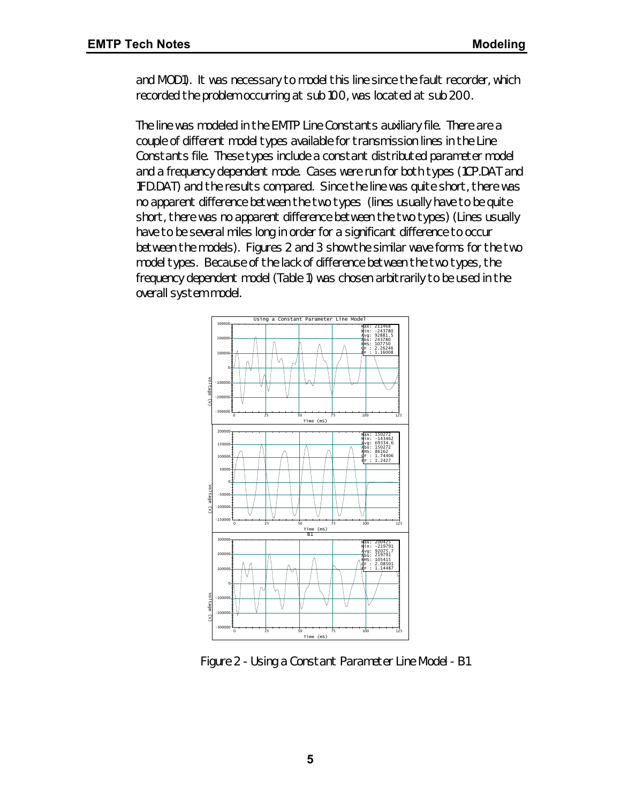and MOD1). It was necessary to model this line since the fault recorder, which recorded the problem occurring at sub 100, was located at sub 200.

The line was modeled in the EMTP Line Constants auxiliary file. There are a couple of different model types available for transmission lines in the Line Constants file. These types include a constant distributed parameter model and a frequency dependent mode. Cases were run for both types (1CP.DAT and 1FD.DAT) and the results compared. Since the line was quite short, there was no apparent difference between the two types (lines usually have to be quite short, there was no apparent difference between the two types) (Lines usually have to be several miles long in order for a significant difference to occur between the models). Figures 2 and 3 show the similar wave forms for the two model types. Because of the lack of difference between the two types, the frequency dependent model (Table 1) was chosen arbitrarily to be used in the overall system model.



*Figure 2 - Using a Constant Parameter Line Model - B1*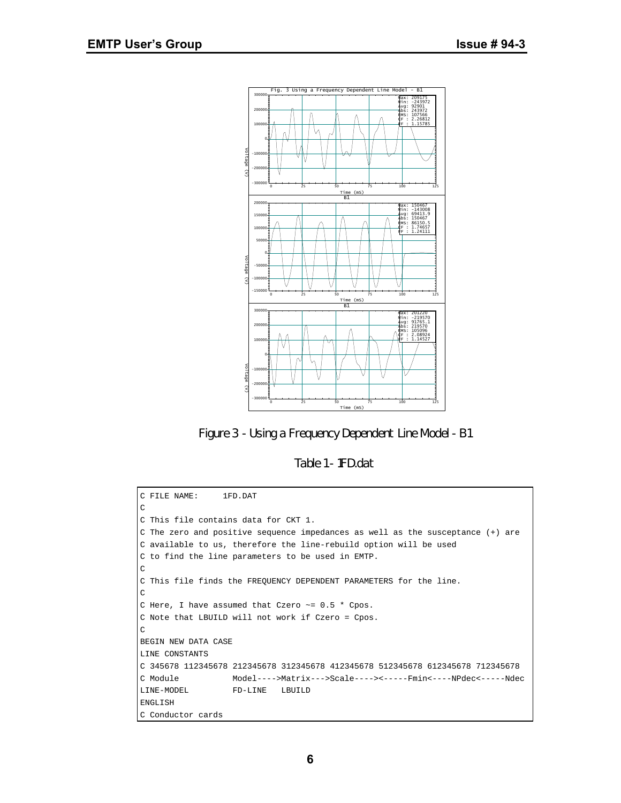

*Figure 3 - Using a Frequency Dependent Line Model - B1*

Table 1 - 1FD.dat

```
C FILE NAME: 1FD.DAT
C
C This file contains data for CKT 1.
C The zero and positive sequence impedances as well as the susceptance (+) are
C available to us, therefore the line-rebuild option will be used
C to find the line parameters to be used in EMTP.
\rm CC This file finds the FREQUENCY DEPENDENT PARAMETERS for the line.
C
C Here, I have assumed that Czero ~= 0.5 * Cpos.
C Note that LBUILD will not work if Czero = Cpos.
C
BEGIN NEW DATA CASE
LINE CONSTANTS
C 345678 112345678 212345678 312345678 412345678 512345678 612345678 712345678
C Module Model---->Matrix--->Scale----><-----Fmin<----NPdec<-----Ndec
LINE-MODEL FD-LINE LBUILD
ENGLISH
C Conductor cards
```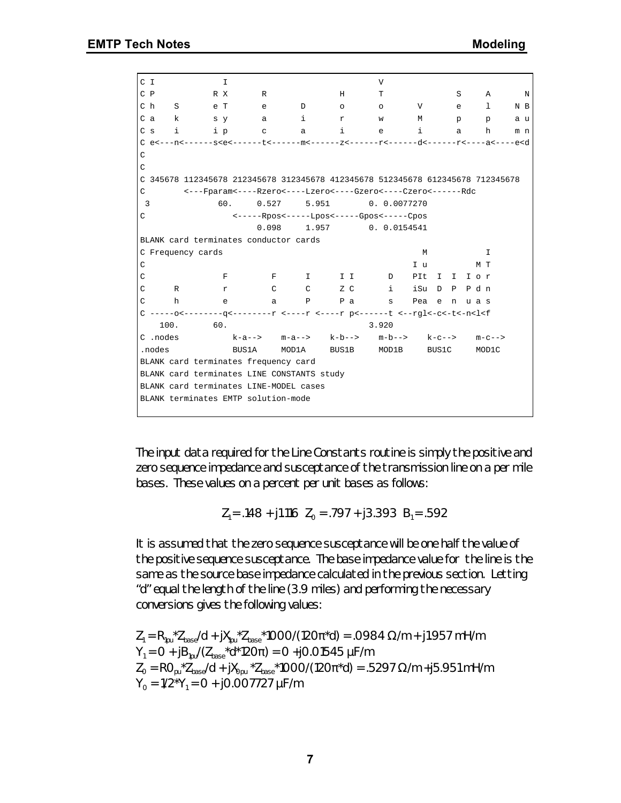| C I            |              |                   | I                                                                                                                                                           |                                          |                   | V                 |       |              |   |         |     |
|----------------|--------------|-------------------|-------------------------------------------------------------------------------------------------------------------------------------------------------------|------------------------------------------|-------------------|-------------------|-------|--------------|---|---------|-----|
| $C$ $P$        |              | R X               | R                                                                                                                                                           |                                          | Н                 | т                 |       |              | S | Α       | N   |
| C h            | $\mathbf{S}$ | e T               | e                                                                                                                                                           | D                                        | $\circ$           | $\circ$           | V     |              | e | 1       | N B |
| C a            | $\mathbf{k}$ |                   | $s \, y$<br>a                                                                                                                                               | i                                        | r                 | W                 | М     |              | p | p       | a u |
| C <sub>s</sub> | i            | i p               | $\mathbf C$                                                                                                                                                 | a                                        | i                 | e                 | i     |              | a | h       | m n |
|                |              |                   |                                                                                                                                                             |                                          |                   |                   |       |              |   |         |     |
| $\rm{C}$       |              |                   |                                                                                                                                                             |                                          |                   |                   |       |              |   |         |     |
| $\mathsf C$    |              |                   |                                                                                                                                                             |                                          |                   |                   |       |              |   |         |     |
|                |              |                   | C 345678 112345678 212345678 312345678 412345678 512345678 612345678 712345678                                                                              |                                          |                   |                   |       |              |   |         |     |
| C              |              |                   | <---Fparam<----Rzero<----Lzero<----Gzero<----Czero<-----Rdc                                                                                                 |                                          |                   |                   |       |              |   |         |     |
| 3              |              |                   | 60.<br>0.527                                                                                                                                                | 5.951                                    |                   | 0.0.0077270       |       |              |   |         |     |
| C              |              |                   |                                                                                                                                                             | <-----Rpos<-----Lpos<-----Gpos<-----Cpos |                   |                   |       |              |   |         |     |
|                |              |                   | 0.098                                                                                                                                                       |                                          | 1.957 0.0.0154541 |                   |       |              |   |         |     |
|                |              |                   | BLANK card terminates conductor cards                                                                                                                       |                                          |                   |                   |       |              |   |         |     |
|                |              | C Frequency cards |                                                                                                                                                             |                                          |                   |                   | M     |              |   | I.      |     |
| C              |              |                   |                                                                                                                                                             |                                          |                   |                   | I u   |              |   | МТ      |     |
| C              |              |                   | $F$ –<br>$\mathbf{F}$                                                                                                                                       |                                          | I II D            |                   |       | PIt I I I or |   |         |     |
| C              | $\mathbb{R}$ |                   | $\mathbb{C}$<br>r                                                                                                                                           | $\mathbb{C}$ and $\mathbb{C}$            | $Z$ $C$           | i                 | iSu D | $\mathbf{P}$ |   | Pdn     |     |
| C              | h            |                   | e<br>a                                                                                                                                                      | Ρ                                        | Pa                | S                 | Pea e |              |   | n uas   |     |
|                |              |                   | C -----o<---------q<---------r <----r p<------t <--rgl<-c<-t<-n <l<f< td=""><td></td><td></td><td></td><td></td><td></td><td></td><td></td><td></td></l<f<> |                                          |                   |                   |       |              |   |         |     |
|                | 100.         | 60.               |                                                                                                                                                             |                                          |                   | 3.920             |       |              |   |         |     |
|                | C .nodes     |                   | $k-a--$ m-a--> $k-b--$                                                                                                                                      |                                          |                   | $m-b--$ k-c-->    |       |              |   | $m-c--$ |     |
|                | .nodes       |                   | <b>BUS1A</b>                                                                                                                                                | MOD1A                                    |                   | BUS1B MOD1B BUS1C |       |              |   | MOD1C   |     |
|                |              |                   | BLANK card terminates frequency card                                                                                                                        |                                          |                   |                   |       |              |   |         |     |
|                |              |                   | BLANK card terminates LINE CONSTANTS study                                                                                                                  |                                          |                   |                   |       |              |   |         |     |
|                |              |                   | BLANK card terminates LINE-MODEL cases                                                                                                                      |                                          |                   |                   |       |              |   |         |     |
|                |              |                   | BLANK terminates EMTP solution-mode                                                                                                                         |                                          |                   |                   |       |              |   |         |     |
|                |              |                   |                                                                                                                                                             |                                          |                   |                   |       |              |   |         |     |

The input data required for the Line Constants routine is simply the positive and zero sequence impedance and susceptance of the transmission line on a per mile bases. These values on a percent per unit bases as follows:

$$
Z_1 = .148 + j1.116 \quad Z_0 = .797 + j3.393 \quad B_1 = .592
$$

It is assumed that the zero sequence susceptance will be one half the value of the positive sequence susceptance. The base impedance value for the line is the same as the source base impedance calculated in the previous section. Letting "d" equal the length of the line (3.9 miles) and performing the necessary conversions gives the following values:

 $Z_1 = R_{1\text{pu}}^{\text{+}} Z_{\text{base}} / d + jX_{1\text{pu}}^{\text{+}} Z_{\text{base}}^{\text{+}} 1000 / (120\pi^{\text{+}} d) = .0984 \Omega / m + j1.957 \text{ mH/m}$  $Y_1 = 0 + jB_{1\text{pu}}/(Z_{\text{base}}^*d^*120\pi) = 0 + j0.01545 \mu\text{F/m}$  $Z_{\rm O}$  = RO<sub>pu</sub>  $^{\star}Z_{\rm base}/d$  + j $X_{\rm Opu}$   $^{\star}Z_{\rm base}$   $^{\star}1000/(120\pi^{\star}d)$  = .5297 Ω/m +j5.951 mH/m  $Y_0 = 1/2^*Y_1 = 0 + j0.007727 \mu F/m$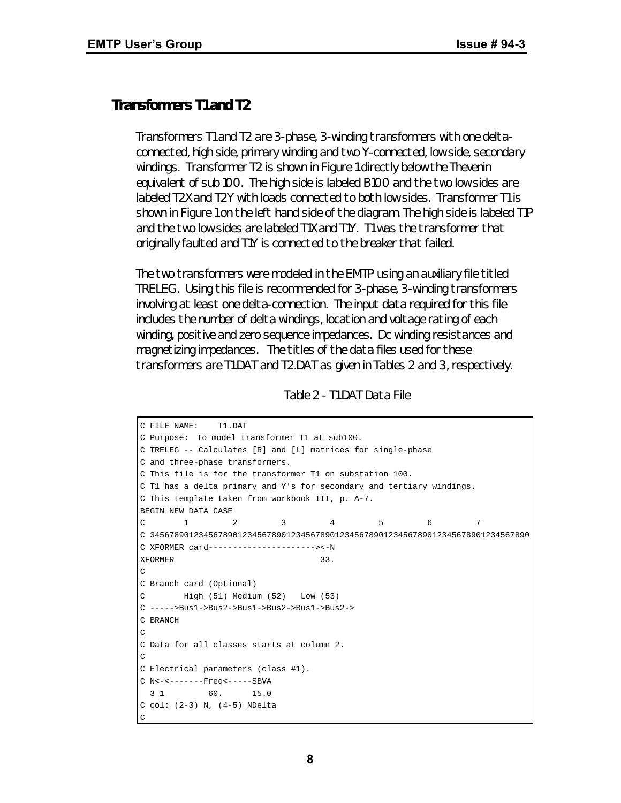#### *Transformers T1 and T2*

Transformers T1 and T2 are 3-phase, 3-winding transformers with one deltaconnected, high side, primary winding and two Y-connected, low side, secondary windings. Transformer T2 is shown in Figure 1 directly below the Thevenin equivalent of sub 100. The high side is labeled B100 and the two low sides are labeled T2X and T2Y with loads connected to both low sides. Transformer T1 is shown in Figure 1 on the left hand side of the diagram. The high side is labeled T1P and the two low sides are labeled T1X and T1Y. T1 was the transformer that originally faulted and T1Y is connected to the breaker that failed.

The two transformers were modeled in the EMTP using an auxiliary file titled TRELEG. Using this file is recommended for 3-phase, 3-winding transformers involving at least one delta-connection. The input data required for this file includes the number of delta windings, location and voltage rating of each winding, positive and zero sequence impedances. Dc winding resistances and magnetizing impedances. The titles of the data files used for these transformers are T1.DAT and T2.DAT as given in Tables 2 and 3, respectively.

| Table 2 - T1.DAT Data File |  |  |  |
|----------------------------|--|--|--|
|----------------------------|--|--|--|

```
C FILE NAME: T1.DAT
C Purpose: To model transformer T1 at sub100.
C TRELEG -- Calculates [R] and [L] matrices for single-phase
C and three-phase transformers.
C This file is for the transformer T1 on substation 100.
C T1 has a delta primary and Y's for secondary and tertiary windings.
C This template taken from workbook III, p. A-7.
BEGIN NEW DATA CASE
C 1 2 3 4 5 6 7
C 345678901234567890123456789012345678901234567890123456789012345678901234567890
C XFORMER card----------------------><-N
XFORMER 33.
\mathcal{C}C Branch card (Optional)
C High (51) Medium (52) Low (53)
C ----->Bus1->Bus2->Bus1->Bus2->Bus1->Bus2->
C BRANCH
\mathsf CC Data for all classes starts at column 2.
C
C Electrical parameters (class #1).
C N<-<-------Freq<-----SBVA
 3 1 60. 15.0
C col: (2-3) N, (4-5) NDelta
C
```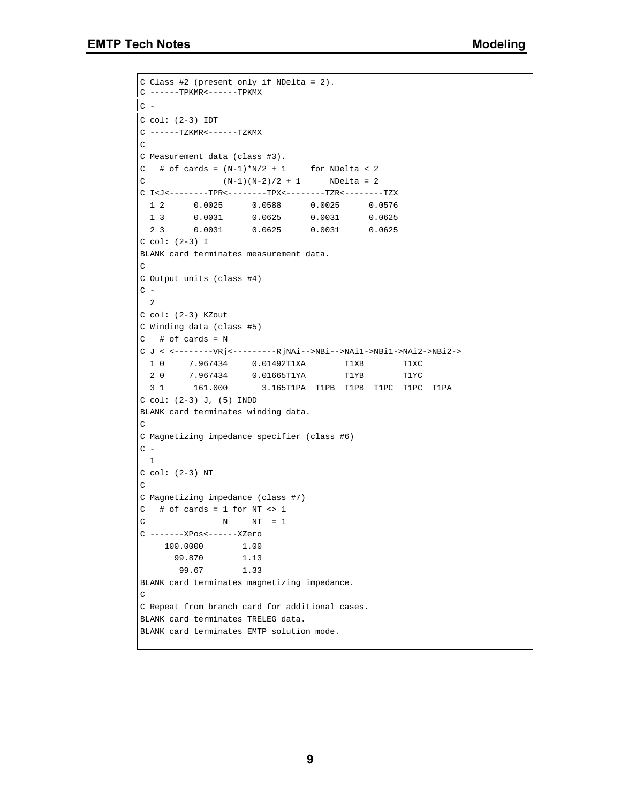C Class #2 (present only if NDelta = 2).

```
C ------TPKMR<------TPKMX
C -C col: (2-3) IDT
C ------TZKMR<------TZKMX
\rm CC Measurement data (class #3).
C # of cards = (N-1)*N/2 + 1 for NDelta < 2
C (N-1)(N-2)/2 + 1 NDelta = 2
C I<J<--------TPR<--------TPX<--------TZR<--------TZX
 1 2 0.0025 0.0588 0.0025 0.0576
 1 3 0.0031 0.0625 0.0031 0.0625
  2 3 0.0031 0.0625 0.0031 0.0625
C col: (2-3) I
BLANK card terminates measurement data.
\capC Output units (class #4)
C - 2
C col: (2-3) KZout
C Winding data (class #5)
C # of cards = N
C J < <--------VRj<---------RjNAi-->NBi-->NAi1->NBi1->NAi2->NBi2->
  1 0 7.967434 0.01492T1XA T1XB T1XC
  2 0 7.967434 0.01665T1YA T1YB T1YC
  3 1 161.000 3.165T1PA T1PB T1PB T1PC T1PC T1PA
C col: (2-3) J, (5) INDD
BLANK card terminates winding data.
C
C Magnetizing impedance specifier (class #6)
C - 1
C col: (2-3) NT
\mathcal{C}C Magnetizing impedance (class #7)
C # of cards = 1 for NT <> 1
C N N = 1C -------XPos<------XZero
    100.0000 1.00
      99.870 1.13
      99.67 1.33
BLANK card terminates magnetizing impedance.
C
C Repeat from branch card for additional cases.
BLANK card terminates TRELEG data.
BLANK card terminates EMTP solution mode.
```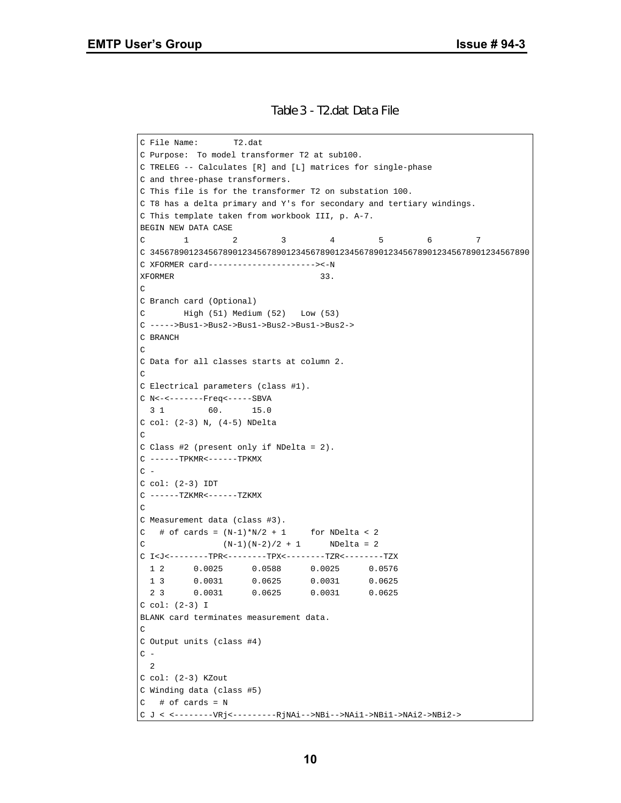#### *Table 3 - T2.dat Data File*

```
C File Name: T2.dat
C Purpose: To model transformer T2 at sub100.
C TRELEG -- Calculates [R] and [L] matrices for single-phase
C and three-phase transformers.
C This file is for the transformer T2 on substation 100.
C T8 has a delta primary and Y's for secondary and tertiary windings.
C This template taken from workbook III, p. A-7.
BEGIN NEW DATA CASE
C 1 2 3 4 5 6 7
C 345678901234567890123456789012345678901234567890123456789012345678901234567890
C XFORMER card----------------------><-N
XFORMER 33.
\capC Branch card (Optional)
C High (51) Medium (52) Low (53)
C ----->Bus1->Bus2->Bus1->Bus2->Bus1->Bus2->
C BRANCH
\capC Data for all classes starts at column 2.
\GammaC Electrical parameters (class #1).
C N<-<-------Freq<-----SBVA
 3 1 60. 15.0
C col: (2-3) N, (4-5) NDelta
\GammaC Class #2 (present only if NDelta = 2).
C ------TPKMR <------TPKMX
C =C col: (2-3) IDT
C ------TZKMR<------TZKMX
\GammaC Measurement data (class #3).
C # of cards = (N-1)*N/2 + 1 for NDelta < 2
C (N-1)(N-2)/2 + 1 NDelta = 2
C I<J<--------TPR<--------TPX<--------TZR<--------TZX
 1 2 0.0025 0.0588 0.0025 0.0576
 1 3 0.0031 0.0625 0.0031 0.0625
  2 3 0.0031 0.0625 0.0031 0.0625
C col: (2-3) I
BLANK card terminates measurement data.
\capC Output units (class #4)
C - 2
C col: (2-3) KZout
C Winding data (class #5)
C # of cards = N
C J < <--------VRj<---------RjNAi-->NBi-->NAi1->NBi1->NAi2->NBi2->
```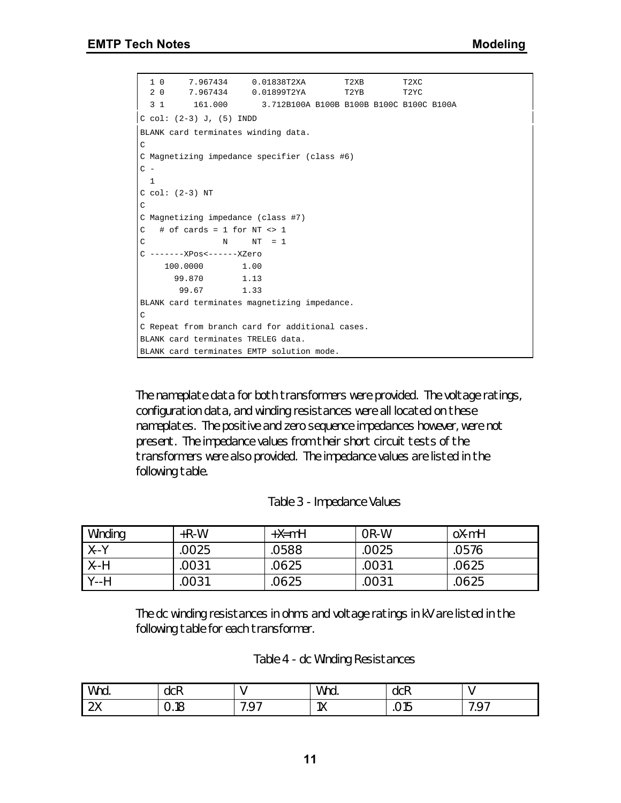```
 1 0 7.967434 0.01838T2XA T2XB T2XC
 2 0 7.967434 0.01899T2YA T2YB T2YC
  3 1 161.000 3.712B100A B100B B100B B100C B100C B100A
C col: (2-3) J, (5) INDD
BLANK card terminates winding data.
C
C Magnetizing impedance specifier (class #6)
C - 1
C col: (2-3) NT
\mathtt{C}C Magnetizing impedance (class #7)
C # of cards = 1 for NT <> 1
C N N = 1C -------XPos<------XZero
    100.0000 1.00
      99.870 1.13
      99.67 1.33
BLANK card terminates magnetizing impedance.
C
C Repeat from branch card for additional cases.
BLANK card terminates TRELEG data.
BLANK card terminates EMTP solution mode.
```
The nameplate data for both transformers were provided. The voltage ratings, configuration data, and winding resistances were all located on these nameplates. The positive and zero sequence impedances however, were not present. The impedance values from their short circuit tests of the transformers were also provided. The impedance values are listed in the following table.

#### *Table 3 - Impedance Values*

| Winding | $+R-W$ | $+X=$ mH | OR-W  | oX-mH |
|---------|--------|----------|-------|-------|
| $X - Y$ | 0025   | 0588     | .0025 | 0576  |
| $X - H$ | .0031  | .0625    | .0031 | .0625 |
| $Y-H$   | 0031   | 0625     | .0031 | 0625  |

The dc winding resistances in ohms and voltage ratings in kV are listed in the following table for each transformer.

| Wnd.           | -<br>dCR<br>__ |                              | Wnd.<br>______                          | -<br>dCR<br>___ |                     |
|----------------|----------------|------------------------------|-----------------------------------------|-----------------|---------------------|
| $\gamma$<br>∠∧ | 0.18           | $\sim$ $\sim$<br>-<br>∼<br>. | 1 <sub>1</sub><br>$\overline{1\Lambda}$ | ں رہ            | ~-<br>ີ<br>$\cdots$ |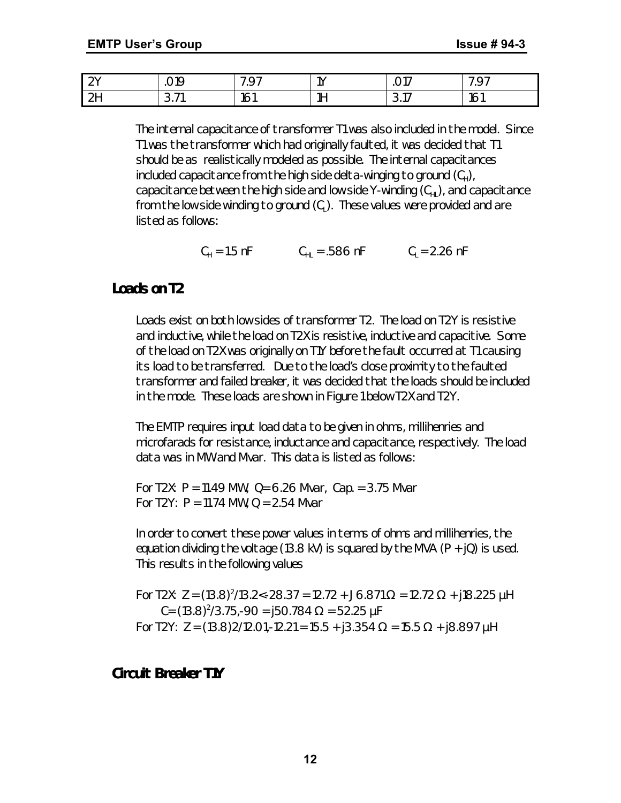| $\bigcap$ | $\cap$ 10<br>ັ<br>___                       | -<br>$\sim$ $\sim$<br>$\overline{\phantom{0}}$<br>. | 1V | ⌒ 1 コ<br>◡ ╷       | $\sim$ $\sim$<br>∼<br>the contract of the contract of the contract of the contract of the contract of |
|-----------|---------------------------------------------|-----------------------------------------------------|----|--------------------|-------------------------------------------------------------------------------------------------------|
| $\sim$    | $\overline{\phantom{a}}$<br>$\sim$<br>ا ا ب | 16<br>ושו                                           | 1H | $\sim$<br>⌒<br>◡.╷ | $\overline{\phantom{a}}$<br>ושו                                                                       |

The internal capacitance of transformer T1 was also included in the model. Since T1 was the transformer which had originally faulted, it was decided that T1 should be as realistically modeled as possible. The internal capacitances included capacitance from the high side delta-winging to ground (C<sub>H</sub>), capacitance between the high side and low side Y-winding  $(C_{H})$ , and capacitance from the low side winding to ground (C $_{\mathsf{L}}$ ). These values were provided and are listed as follows:

 $C_H = 1.5 \text{ nF}$   $C_{HL} = .586 \text{ nF}$   $C_L = 2.26 \text{ nF}$ 

# *Loads on T2*

Loads exist on both low sides of transformer T2. The load on T2Y is resistive and inductive, while the load on T2X is resistive, inductive and capacitive. Some of the load on T2X was originally on T1Y before the fault occurred at T1 causing its load to be transferred. Due to the load's close proximity to the faulted transformer and failed breaker, it was decided that the loads should be included in the mode. These loads are shown in Figure 1 below T2X and T2Y.

The EMTP requires input load data to be given in ohms, millihenries and microfarads for resistance, inductance and capacitance, respectively. The load data was in MW and Mvar. This data is listed as follows:

For T2X:  $P = 11.49$  MW,  $Q = 6.26$  Mvar, Cap. = 3.75 Mvar For T2Y:  $P = 11.74$  MW,  $Q = 2.54$  Mvar

In order to convert these power values in terms of ohms and millihenries, the equation dividing the voltage (13.8 kV) is squared by the MVA (P  $+$  jQ) is used. This results in the following values

For T2X: Z = (13.8)<sup>2</sup>/13.2<-28.37 = 12.72 + J6.871 Ω = 12.72 Ω + j18.225  $\mu$ H C= (13.8) $^{2}/3.75$ ,-90 = j50.784 Ω = 52.25 μF *For T2Y: Z = (13.8)2/12.01,-12.21 = 15.5 + j3.354 W = 15.5 W + j8.897 mH*

# *Circuit Breaker T1Y*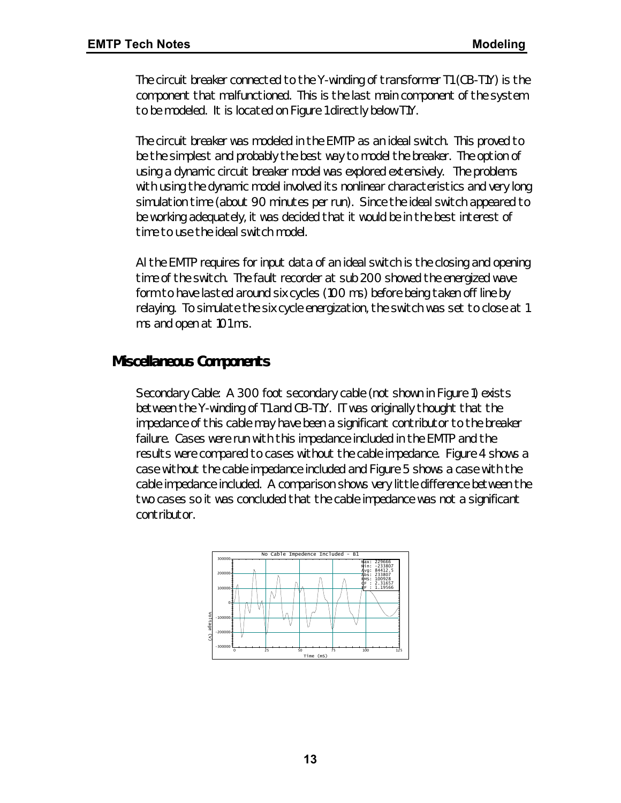The circuit breaker connected to the Y-winding of transformer T1 (CB-T1Y) is the component that malfunctioned. This is the last main component of the system to be modeled. It is located on Figure 1 directly below T1Y.

The circuit breaker was modeled in the EMTP as an ideal switch. This proved to be the simplest and probably the best way to model the breaker. The option of using a dynamic circuit breaker model was explored extensively. The problems with using the dynamic model involved its nonlinear characteristics and very long simulation time (about 90 minutes per run). Since the ideal switch appeared to be working adequately, it was decided that it would be in the best interest of time to use the ideal switch model.

Al the EMTP requires for input data of an ideal switch is the closing and opening time of the switch. The fault recorder at sub 200 showed the energized wave form to have lasted around six cycles (100 ms) before being taken off line by relaying. To simulate the six cycle energization, the switch was set to close at 1 ms and open at 101 ms.

# *Miscellaneous Components*

Secondary Cable: A 300 foot secondary cable (not shown in Figure 1) exists between the Y-winding of T1 and CB-T1Y. IT was originally thought that the impedance of this cable may have been a significant contributor to the breaker failure. Cases were run with this impedance included in the EMTP and the results were compared to cases without the cable impedance. Figure 4 shows a case without the cable impedance included and Figure 5 shows a case with the cable impedance included. A comparison shows very little difference between the two cases so it was concluded that the cable impedance was not a significant contributor.

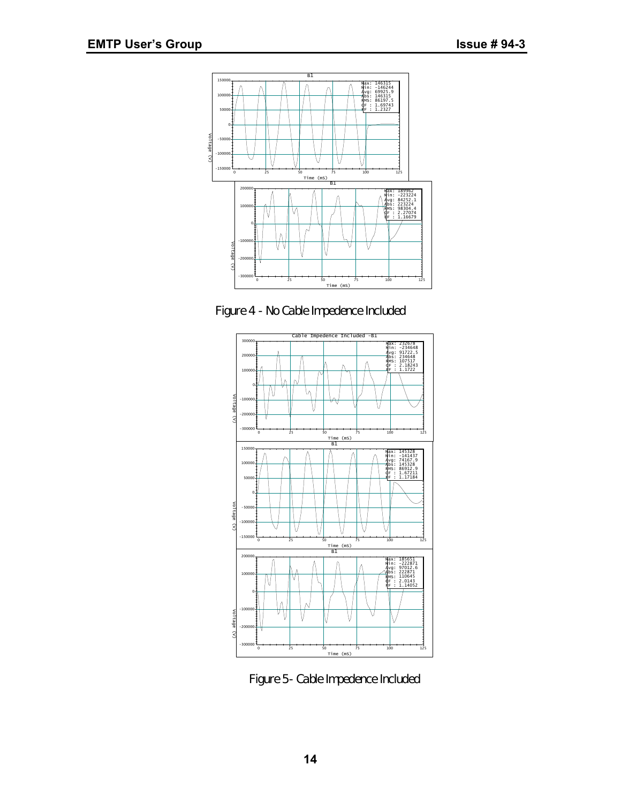

*Figure 4 - No Cable Impedence Included*



*Figure 5- Cable Impedence Included*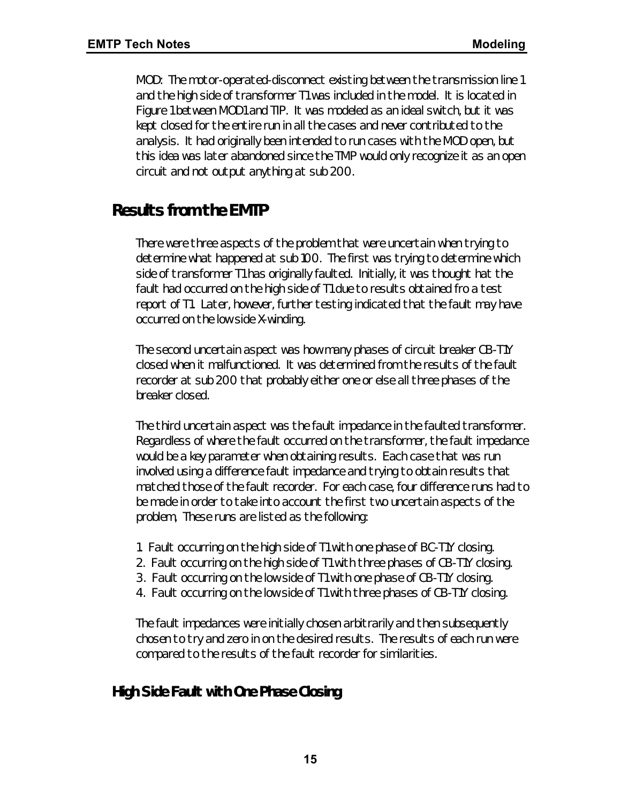MOD: The motor-operated-disconnect existing between the transmission line 1 and the high side of transformer T1 was included in the model. It is located in Figure 1 between MOD1 and TIP. It was modeled as an ideal switch, but it was kept closed for the entire run in all the cases and never contributed to the analysis. It had originally been intended to run cases with the MOD open, but this idea was later abandoned since the TMP would only recognize it as an open circuit and not output anything at sub 200.

# *Results from the EMTP*

There were three aspects of the problem that were uncertain when trying to determine what happened at sub 100. The first was trying to determine which side of transformer T1 has originally faulted. Initially, it was thought hat the fault had occurred on the high side of T1 due to results obtained fro a test report of T1. Later, however, further testing indicated that the fault may have occurred on the low side X-winding.

The second uncertain aspect was how many phases of circuit breaker CB-T1Y closed when it malfunctioned. It was determined from the results of the fault recorder at sub 200 that probably either one or else all three phases of the breaker closed.

The third uncertain aspect was the fault impedance in the faulted transformer. Regardless of where the fault occurred on the transformer, the fault impedance would be a key parameter when obtaining results. Each case that was run involved using a difference fault impedance and trying to obtain results that matched those of the fault recorder. For each case, four difference runs had to be made in order to take into account the first two uncertain aspects of the problem, These runs are listed as the following:

- 1. Fault occurring on the high side of T1 with one phase of BC-T1Y closing.
- 2. Fault occurring on the high side of T1 with three phases of CB-T1Y closing.
- 3. Fault occurring on the low side of T1 with one phase of CB-T1Y closing.
- 4. Fault occurring on the low side of T1 with three phases of CB-T1Y closing.

The fault impedances were initially chosen arbitrarily and then subsequently chosen to try and zero in on the desired results. The results of each run were compared to the results of the fault recorder for similarities.

# *High Side Fault with One Phase Closing*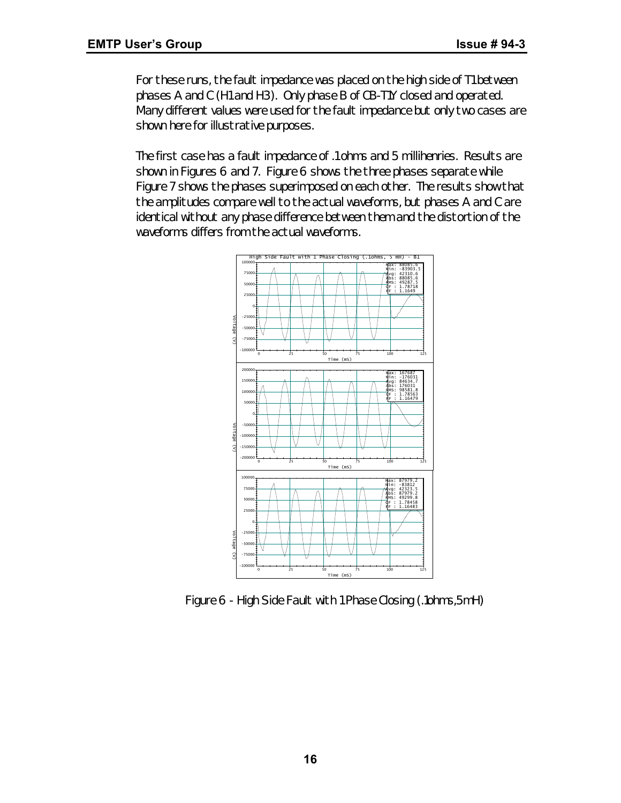For these runs, the fault impedance was placed on the high side of T1 between phases A and C (H1 and H3). Only phase B of CB-T1Y closed and operated. Many different values were used for the fault impedance but only two cases are shown here for illustrative purposes.

The first case has a fault impedance of .1 ohms and 5 millihenries. Results are shown in Figures 6 and 7. Figure 6 shows the three phases separate while Figure 7 shows the phases superimposed on each other. The results show that the amplitudes compare well to the actual waveforms, but phases A and C are identical without any phase difference between them and the distortion of the waveforms differs from the actual waveforms.



*Figure 6 - High Side Fault with 1 Phase Closing (.1ohms,5mH)*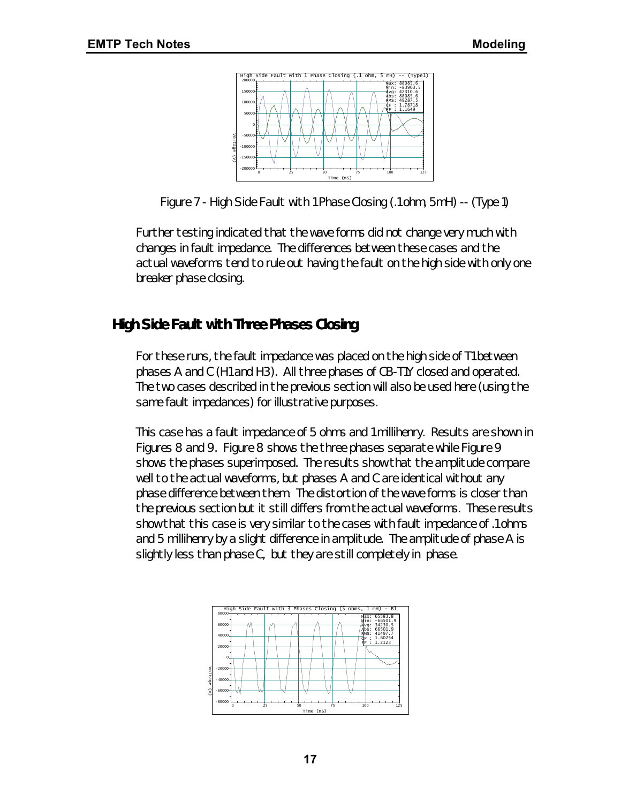

Figure 7 - High Side Fault with 1 Phase Closing (.1 ohm, 5mH) -- (Type 1)

Further testing indicated that the wave forms did not change very much with changes in fault impedance. The differences between these cases and the actual waveforms tend to rule out having the fault on the high side with only one breaker phase closing.

# *High Side Fault with Three Phases Closing*

For these runs, the fault impedance was placed on the high side of T1 between phases A and C (H1 and H3). All three phases of CB-T1Y closed and operated. The two cases described in the previous section will also be used here (using the same fault impedances) for illustrative purposes.

This case has a fault impedance of 5 ohms and 1 millihenry. Results are shown in Figures 8 and 9. Figure 8 shows the three phases separate while Figure 9 shows the phases superimposed. The results show that the amplitude compare well to the actual waveforms, but phases A and C are identical without any phase difference between them. The distortion of the wave forms is closer than the previous section but it still differs from the actual waveforms. These results show that this case is very similar to the cases with fault impedance of .1 ohms and 5 millihenry by a slight difference in amplitude. The amplitude of phase A is slightly less than phase C, but they are still completely in phase.

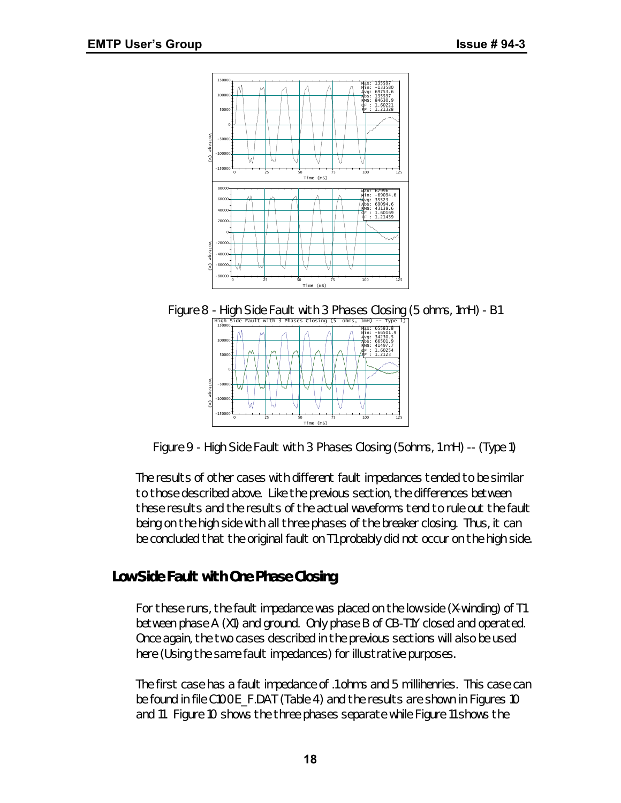

*Figure 8 - High Side Fault with 3 Phases Closing (5 ohms, 1mH) - B1*



*Figure 9 - High Side Fault with 3 Phases Closing (5ohms, 1 mH) -- (Type 1)*

The results of other cases with different fault impedances tended to be similar to those described above. Like the previous section, the differences between these results and the results of the actual waveforms tend to rule out the fault being on the high side with all three phases of the breaker closing. Thus, it can be concluded that the original fault on T1 probably did not occur on the high side.

# *Low Side Fault with One Phase Closing*

*For these runs, the fault impedance was placed on the low side (X-winding) of T1 between phase A (X1) and ground. Only phase B of CB-T1Y closed and operated. Once again, the two cases described in the previous sections will also be used here (Using the same fault impedances) for illustrative purposes.*

The first case has a fault impedance of .1 ohms and 5 millihenries. This case can be found in file C100E\_F.DAT (Table 4) and the results are shown in Figures 10 and 11. Figure 10 shows the three phases separate while Figure 11 shows the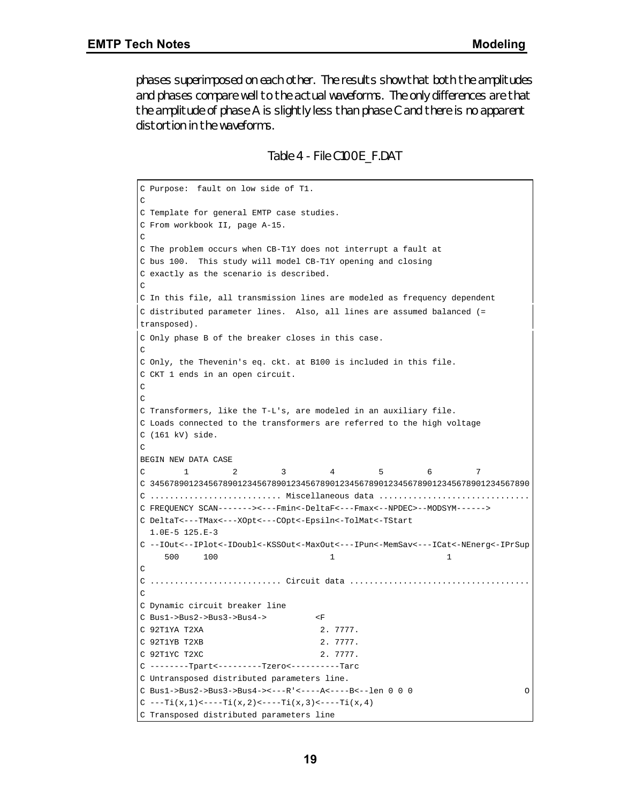phases superimposed on each other. The results show that both the amplitudes and phases compare well to the actual waveforms. The only differences are that the amplitude of phase A is slightly less than phase C and there is no apparent distortion in the waveforms.

*Table 4 - File C100E\_F.DAT*

```
C Purpose: fault on low side of T1.
C
C Template for general EMTP case studies.
C From workbook II, page A-15.
\mathcal{C}C The problem occurs when CB-T1Y does not interrupt a fault at
C bus 100. This study will model CB-T1Y opening and closing
C exactly as the scenario is described.
\mathcal{C}C In this file, all transmission lines are modeled as frequency dependent
C distributed parameter lines. Also, all lines are assumed balanced (=
transposed).
C Only phase B of the breaker closes in this case.
\rm CC Only, the Thevenin's eq. ckt. at B100 is included in this file.
C CKT 1 ends in an open circuit.
C
C
C Transformers, like the T-L's, are modeled in an auxiliary file.
C Loads connected to the transformers are referred to the high voltage
C (161 kV) side.
\mathcal{C}BEGIN NEW DATA CASE
C 1 2 3 4 5 6 7
C 345678901234567890123456789012345678901234567890123456789012345678901234567890
C ........................... Miscellaneous data ...............................
C FREQUENCY SCAN-------><---Fmin<-DeltaF<---Fmax<--NPDEC>--MODSYM------>
C DeltaT<---TMax<---XOpt<---COpt<-Epsiln<-TolMat<-TStart
  1.0E-5 125.E-3
C --IOut<--IPlot<-IDoubl<-KSSOut<-MaxOut<---IPun<-MemSav<---ICat<-NEnerg<-IPrSup
 500 100 1 1
C
C ........................... Circuit data .....................................
\overline{C}C Dynamic circuit breaker line
C Bus1->Bus2->Bus3->Bus4-> <F
C 92T1YA T2XA 2. 7777.
C 92T1YB T2XB 2. 7777.
C 92T1YC T2XC 2. 7777.
C --------Tpart<---------Tzero<----------Tarc
C Untransposed distributed parameters line.
C Bus1->Bus2->Bus3->Bus4-><---R'<----A<----B<--len 0 0 0 O
C ---Ti(x,1) < ---Ti(x,2) < ---Ti(x,3) < ---Ti(x,4)C Transposed distributed parameters line
```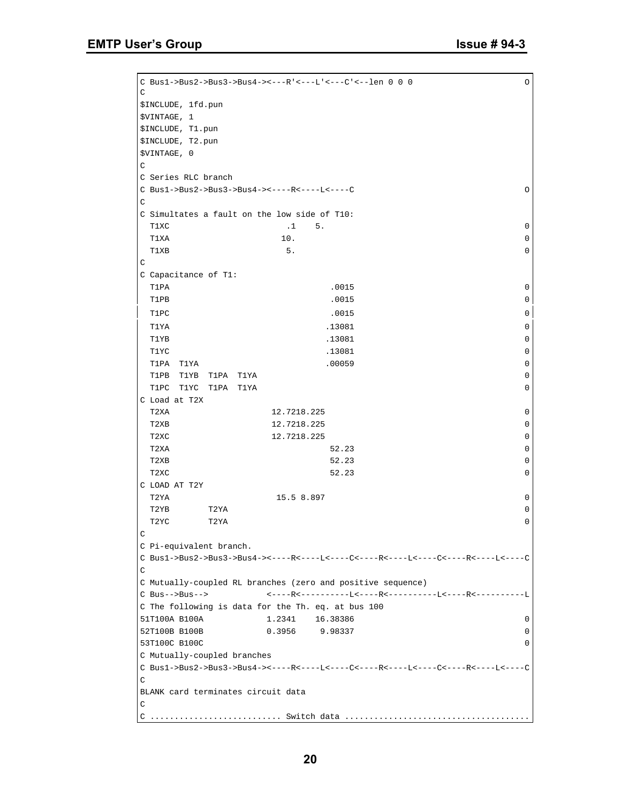```
C Bus1->Bus2->Bus3->Bus4-><---R'<---L'<---C'<--len 0 0 0 O
\mathtt{C}$INCLUDE, 1fd.pun
$VINTAGE, 1
$INCLUDE, T1.pun
$INCLUDE, T2.pun
$VINTAGE, 0
\mathcal{C}C Series RLC branch
C Bus1->Bus2->Bus3->Bus4-><----R<----L<----C O
\mathcal{C}C Simultates a fault on the low side of T10:
 T1XC .1 5. 0
T1XA 10.
\blacksquare T1XB \blacksquare 5.
C
C Capacitance of T1:
T1PA 20015 0
T1PB 0 and 0.0015 0 and 0.0015 0 and 0.0015 0 and 0.0015 0 and 0.0015 0 and 0.0015 0 and 0.0015 0 and 0.0015 0
T1PC 0 and 0 and 0 and 0 and 0 and 0 and 0 and 0 and 0 and 0 and 0 and 0 and 0 and 0 and 0 and 0 and 0 and 0 and 0 and 0 and 0 and 0 and 0 and 0 and 0 and 0 and 0 and 0 and 0 and 0 and 0 and 0 and 0 and 0 and 0 and 0 and 0
 T1YA .13081 0
T1YB 213081 0
T1YC 213081 0
  T1PA T1YA .00059 0
  T1PB T1YB T1PA T1YA 0
  T1PC T1YC T1PA T1YA 0
C Load at T2X
  T2XA 12.7218.225 0
T2XB 12.7218.225 0
T2XC 12.7218.225 0
T2XA 0
T2XB 52.23 0
T2XC 52.23 0
C LOAD AT T2Y
  T2YA 15.5 8.897 0
 T2YB T2YA 0
 T2YC T2YA 0
\GammaC Pi-equivalent branch.
C Bus1->Bus2->Bus3->Bus4-><----R<----L<----C<----R<----L<----C<----R<----L<----C
\rm CC Mutually-coupled RL branches (zero and positive sequence)
C Bus-->Bus--> <----R<----------L<----R<----------L<----R<----------L
C The following is data for the Th. eq. at bus 100
51T100A B100A 1.2341 16.38386 0
52T100B B100B 0.3956 9.98337 0
53T100C B100C 0
C Mutually-coupled branches
{\tt C\ \ Bus1->Bus2->Bus3->Bus4-><----R<---L<---C<----R<----L<---C<----R<----L<---L\overline{C}BLANK card terminates circuit data
\rm CC ........................... Switch data ......................................
```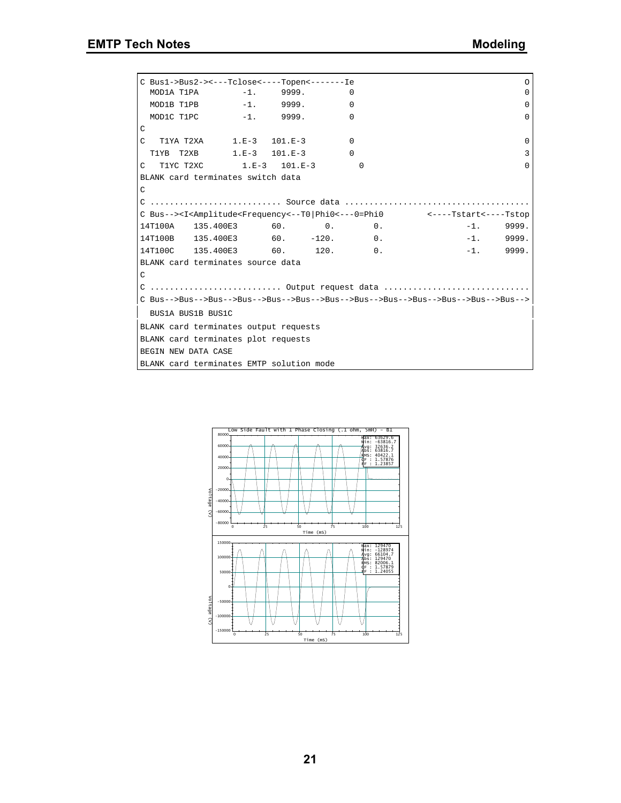|               | C Bus1->Bus2-><---Tclose<----Topen<-------Ie |          |          |                                                                                                                                           | $\circ$     |
|---------------|----------------------------------------------|----------|----------|-------------------------------------------------------------------------------------------------------------------------------------------|-------------|
|               | MOD1A T1PA -1. 9999.                         | $\Omega$ |          |                                                                                                                                           | 0           |
|               | MOD1B T1PB -1. 9999. 0                       |          |          |                                                                                                                                           | $\Omega$    |
|               | MOD1C T1PC -1. 9999.                         | $\Omega$ |          |                                                                                                                                           | $\Omega$    |
| C             |                                              |          |          |                                                                                                                                           |             |
|               | C T1YA T2XA 1.E-3 101.E-3                    | $\Omega$ |          |                                                                                                                                           | $\Omega$    |
|               | T1YB T2XB 1.E-3 101.E-3 0                    |          |          |                                                                                                                                           | 3           |
|               | C T1YC T2XC 1.E-3 101.E-3                    |          | $\Omega$ |                                                                                                                                           | $\Omega$    |
|               | BLANK card terminates switch data            |          |          |                                                                                                                                           |             |
| $\mathcal{C}$ |                                              |          |          |                                                                                                                                           |             |
|               |                                              |          |          |                                                                                                                                           |             |
|               |                                              |          |          | C Bus--> <i<amplitude<frequency<--t0 phi0<---0=phi0 <----tstart<----tstop<="" td=""><td></td></i<amplitude<frequency<--t0 phi0<---0=phi0> |             |
|               | $14T100A$ $135.400E3$ 60. 0. 0.              |          |          | $-1.$ 9999.                                                                                                                               |             |
|               | $14T100B$ $135.400E3$ 60. $-120.$ 0.         |          |          |                                                                                                                                           | $-1.$ 9999. |
|               | 14T100C 135.400E3 60. 120. 0.                |          |          | $-1.$ 9999.                                                                                                                               |             |
|               | BLANK card terminates source data            |          |          |                                                                                                                                           |             |
| C             |                                              |          |          |                                                                                                                                           |             |
|               |                                              |          |          | C  Output request data                                                                                                                    |             |
|               |                                              |          |          | C Bus-->Bus-->Bus-->Bus-->Bus-->Bus-->Bus-->Bus-->Bus-->Bus-->Bus-->Bus-->Bus-->Bus-->                                                    |             |
|               | BUS1A BUS1B BUS1C                            |          |          |                                                                                                                                           |             |
|               | BLANK card terminates output requests        |          |          |                                                                                                                                           |             |
|               | BLANK card terminates plot requests          |          |          |                                                                                                                                           |             |
|               | BEGIN NEW DATA CASE                          |          |          |                                                                                                                                           |             |
|               | BLANK card terminates EMTP solution mode     |          |          |                                                                                                                                           |             |

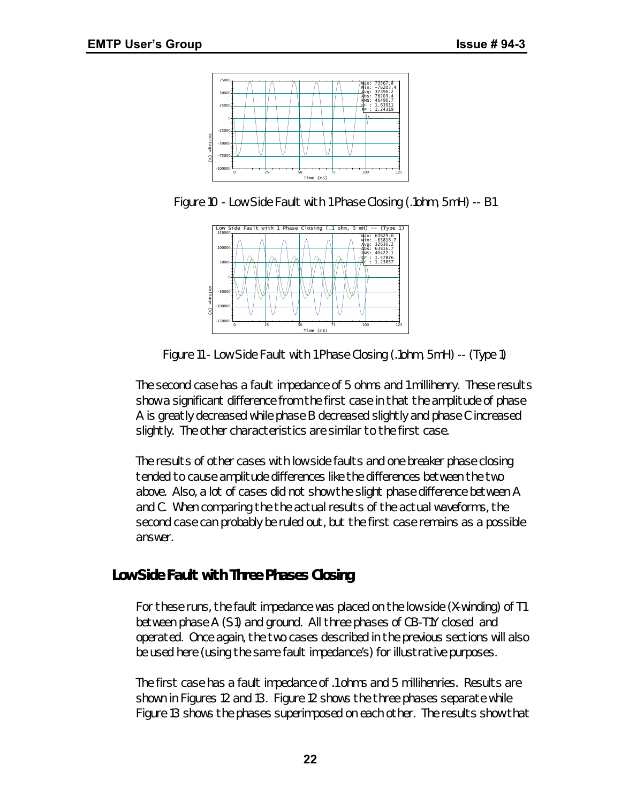

*Figure 10 - Low Side Fault with 1 Phase Closing (.1ohm, 5mH) -- B1*



*Figure 11 - Low Side Fault with 1 Phase Closing (.1ohm, 5mH) -- (Type 1)*

The second case has a fault impedance of 5 ohms and 1 millihenry. These results show a significant difference from the first case in that the amplitude of phase A is greatly decreased while phase B decreased slightly and phase C increased slightly. The other characteristics are similar to the first case.

The results of other cases with low side faults and one breaker phase closing tended to cause amplitude differences like the differences between the two above. Also, a lot of cases did not show the slight phase difference between A and C. When comparing the the actual results of the actual waveforms, the second case can probably be ruled out, but the first case remains as a possible answer.

# *Low Side Fault with Three Phases Closing*

For these runs, the fault impedance was placed on the low side (X-winding) of T1 between phase A (S1) and ground. All three phases of CB-T1Y closed and operated. Once again, the two cases described in the previous sections will also be used here (using the same fault impedance's) for illustrative purposes.

The first case has a fault impedance of .1 ohms and 5 millihenries. Results are shown in Figures 12 and 13. Figure 12 shows the three phases separate while Figure 13 shows the phases superimposed on each other. The results show that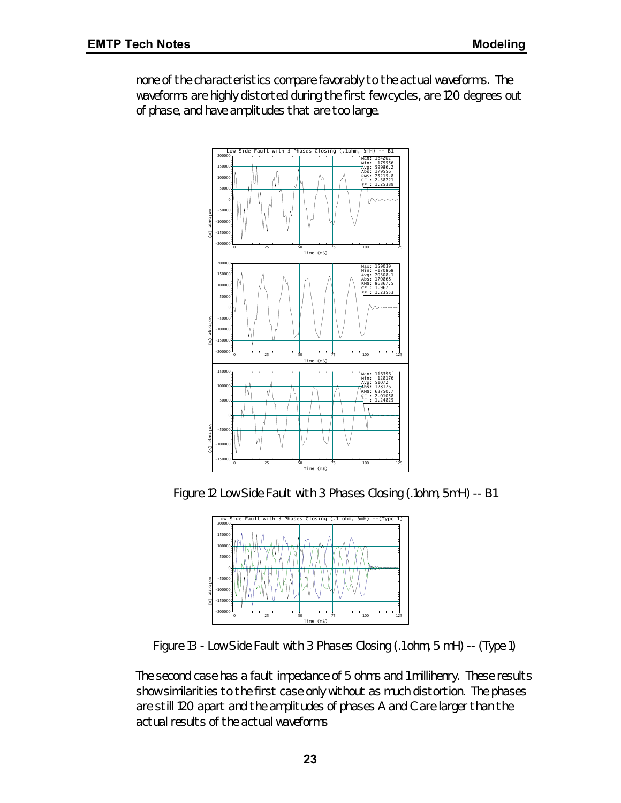none of the characteristics compare favorably to the actual waveforms. The waveforms are highly distorted during the first few cycles, are 120 degrees out of phase, and have amplitudes that are too large.



*Figure 12 Low Side Fault with 3 Phases Closing (.1ohm, 5mH) -- B1*



*Figure 13 - Low Side Fault with 3 Phases Closing (.1 ohm, 5 mH) -- (Type 1)*

The second case has a fault impedance of 5 ohms and 1 millihenry. These results show similarities to the first case only without as much distortion. The phases are still 120 apart and the amplitudes of phases A and C are larger than the actual results of the actual waveforms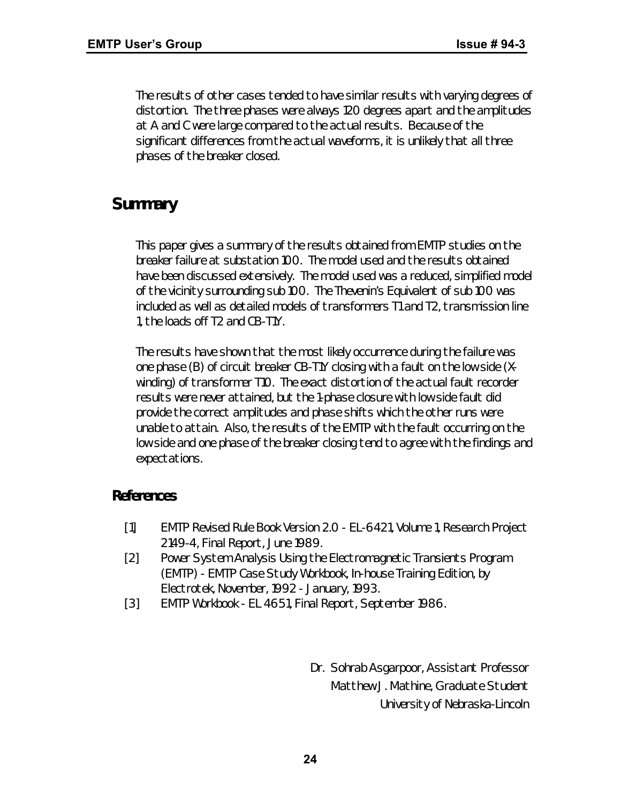The results of other cases tended to have similar results with varying degrees of distortion. The three phases were always 120 degrees apart and the amplitudes at A and C were large compared to the actual results. Because of the significant differences from the actual waveforms, it is unlikely that all three phases of the breaker closed.

# *Summary*

This paper gives a summary of the results obtained from EMTP studies on the breaker failure at substation 100. The model used and the results obtained have been discussed extensively. The model used was a reduced, simplified model of the vicinity surrounding sub 100. The Thevenin's Equivalent of sub 100 was included as well as detailed models of transformers T1 and T2, transmission line 1, the loads off T2 and CB-T1Y.

The results have shown that the most likely occurrence during the failure was one phase (B) of circuit breaker CB-T1Y closing with a fault on the low side (Xwinding) of transformer T10. The exact distortion of the actual fault recorder results were never attained, but the 1-phase closure with low side fault did provide the correct amplitudes and phase shifts which the other runs were unable to attain. Also, the results of the EMTP with the fault occurring on the low side and one phase of the breaker closing tend to agree with the findings and expectations.

# *References*

- [1] EMTP Revised Rule Book Version 2.0 EL-6421, Volume 1, Research Project 2149-4, Final Report, June 1989.
- [2] Power System Analysis Using the Electromagnetic Transients Program (EMTP) - EMTP Case Study Workbook, In-house Training Edition, by Electrotek, November, 1992 - January, 1993.
- [3] EMTP Workbook EL 4651, Final Report, September 1986.

*Dr. Sohrab Asgarpoor, Assistant Professor Matthew J. Mathine, Graduate Student University of Nebraska-Lincoln*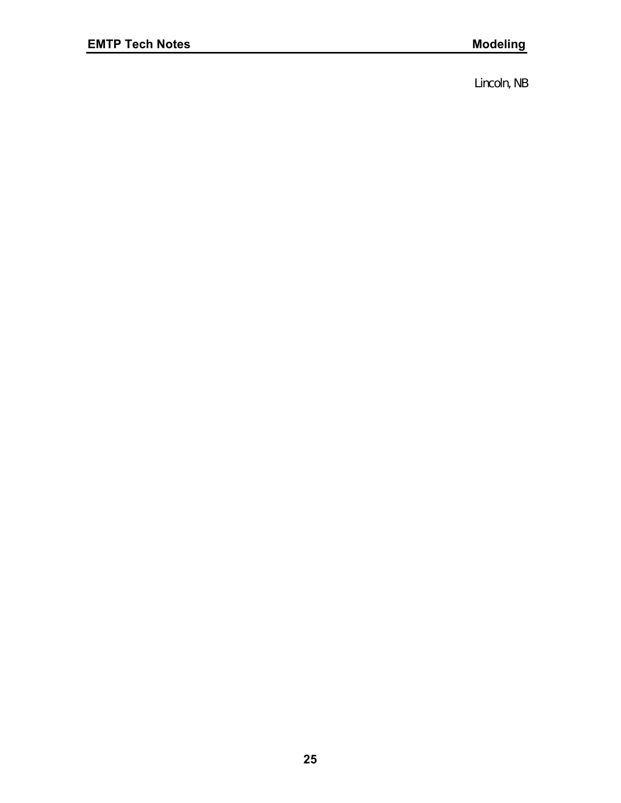*Lincoln, NB*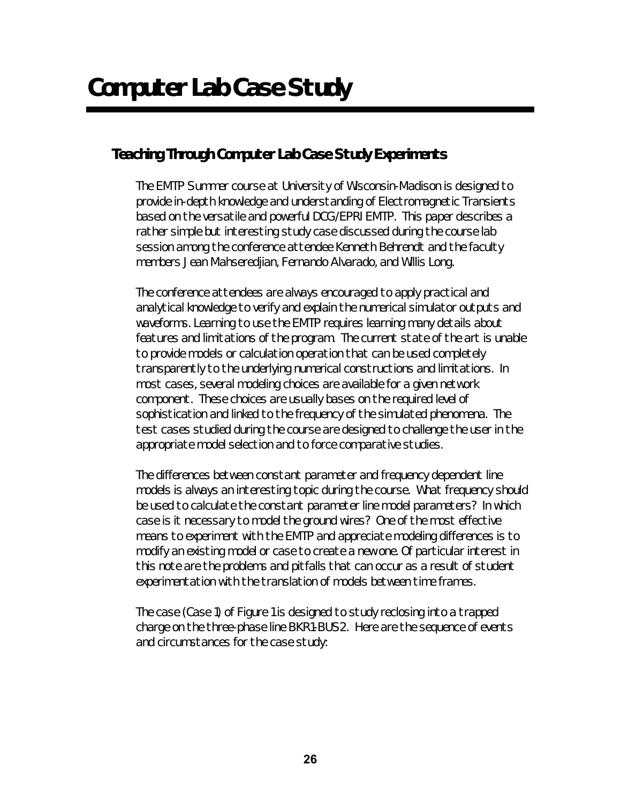# *Teaching Through Computer Lab Case Study Experiments*

The EMTP Summer course at University of Wisconsin-Madison is designed to provide in-depth knowledge and understanding of Electromagnetic Transients based on the versatile and powerful DCG/EPRI EMTP. This paper describes a rather simple but interesting study case discussed during the course lab session among the conference attendee Kenneth Behrendt and the faculty members Jean Mahseredjian, Fernando Alvarado, and Willis Long.

The conference attendees are always encouraged to apply practical and analytical knowledge to verify and explain the numerical simulator outputs and waveforms. Learning to use the EMTP requires learning many details about features and limitations of the program. The current state of the art is unable to provide models or calculation operation that can be used completely transparently to the underlying numerical constructions and limitations. In most cases, several modeling choices are available for a given network component. These choices are usually bases on the required level of sophistication and linked to the frequency of the simulated phenomena. The test cases studied during the course are designed to challenge the user in the appropriate model selection and to force comparative studies.

The differences between constant parameter and frequency dependent line models is always an interesting topic during the course. What frequency should be used to calculate the constant parameter line model parameters? In which case is it necessary to model the ground wires? One of the most effective means to experiment with the EMTP and appreciate modeling differences is to modify an existing model or case to create a new one. Of particular interest in this note are the problems and pitfalls that can occur as a result of student experimentation with the translation of models between time frames.

The case (Case 1) of Figure 1 is designed to study reclosing into a trapped charge on the three-phase line BKR1-BUS2. Here are the sequence of events and circumstances for the case study: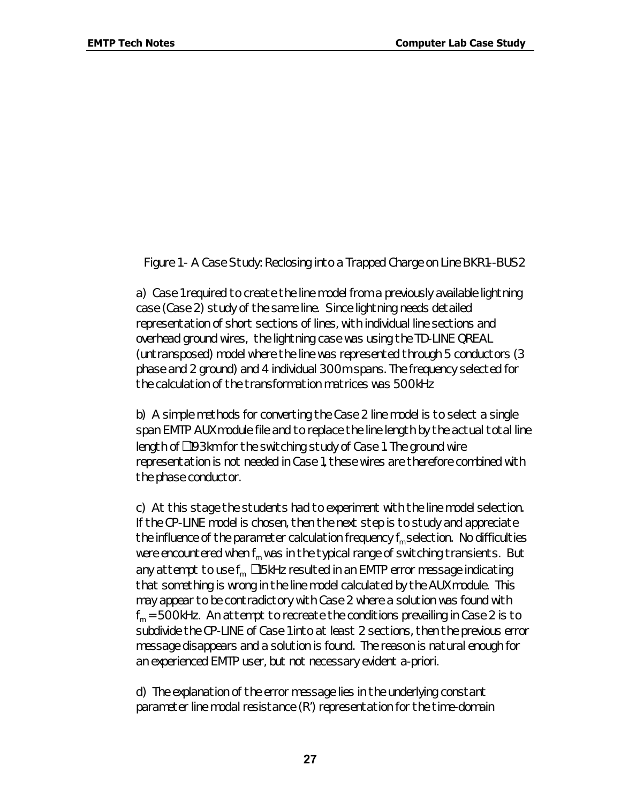#### *Figure 1 - A Case Study: Reclosing into a Trapped Charge on Line BKR1--BUS2*

a) Case 1 required to create the line model from a previously available lightning case (Case 2) study of the same line. Since lightning needs detailed representation of short sections of lines, with individual line sections and overhead ground wires, the lightning case was using the TD-LINE QREAL (untransposed) model where the line was represented through 5 conductors (3 phase and 2 ground) and 4 individual 300m spans. The frequency selected for the calculation of the transformation matrices was 500kHz

b) A simple methods for converting the Case 2 line model is to select a single span EMTP AUX module file and to replace the line length by the actual total line length of @93km for the switching study of Case 1. The ground wire representation is not needed in Case 1, these wires are therefore combined with the phase conductor.

c) At this stage the students had to experiment with the line model selection. If the CP-LINE model is chosen, then the next step is to study and appreciate the influence of the parameter calculation frequency  $f_m$  selection. No difficulties were encountered when  $f_m$  was in the typical range of switching transients. But any attempt to use  $f_m$ <sup>315kHz</sup> resulted in an EMTP error message indicating that something is wrong in the line model calculated by the AUX module. This may appear to be contradictory with Case 2 where a solution was found with  $f_m$  = 500kHz. An attempt to recreate the conditions prevailing in Case 2 is to subdivide the CP-LINE of Case 1 into at least 2 sections, then the previous error message disappears and a solution is found. The reason is natural enough for an experienced EMTP user, but not necessary evident a-priori.

d) The explanation of the error message lies in the underlying constant parameter line modal resistance (R') representation for the time-domain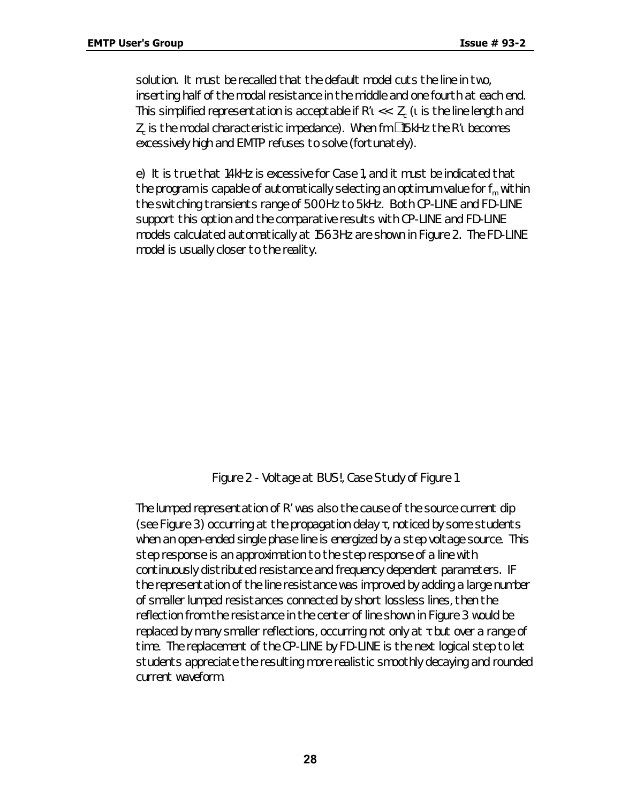solution. It must be recalled that the default model cuts the line in two, inserting half of the modal resistance in the middle and one fourth at each end. This simplified representation is acceptable if R'ı <<  $\rm\,Z_c$  ( $\rm\,i$  is the line length and  $\mathsf{Z}_{\mathrm{c}}$  is the modal characteristic impedance). When fm  $^{\mathsf{3}}$ 15kHz the R' $\mathsf{t}$  becomes excessively high and EMTP refuses to solve (fortunately).

e) It is true that 14kHz is excessive for Case 1, and it must be indicated that the program is capable of automatically selecting an optimum value for  $f_m$  within the switching transients range of 500Hz to 5kHz. Both CP-LINE and FD-LINE support this option and the comparative results with CP-LINE and FD-LINE models calculated automatically at 1563Hz are shown in Figure 2. The FD-LINE model is usually closer to the reality.

#### *Figure 2 - Voltage at BUS!, Case Study of Figure 1*

The lumped representation of R' was also the cause of the source current dip (see Figure 3) occurring at the propagation delay  $\tau$ , noticed by some students when an open-ended single phase line is energized by a step voltage source. This step response is an approximation to the step response of a line with continuously distributed resistance and frequency dependent parameters. IF the representation of the line resistance was improved by adding a large number of smaller lumped resistances connected by short lossless lines, then the reflection from the resistance in the center of line shown in Figure 3 would be replaced by many smaller reflections, occurring not only at  $\tau$  but over a range of time. The replacement of the CP-LINE by FD-LINE is the next logical step to let students appreciate the resulting more realistic smoothly decaying and rounded current waveform.